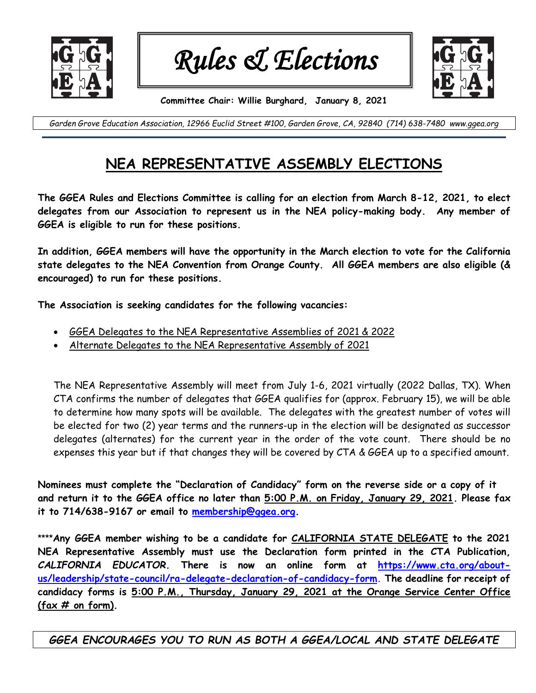

*Rules & Elections* 



**Committee Chair: Willie Burghard, January 8, 2021**

*Garden Grove Education Association, 12966 Euclid Street #100, Garden Grove, CA, 92840 (714) 638-7480 www.ggea.org*

## **NEA REPRESENTATIVE ASSEMBLY ELECTIONS**

**The GGEA Rules and Elections Committee is calling for an election from March 8-12, 2021, to elect delegates from our Association to represent us in the NEA policy-making body. Any member of GGEA is eligible to run for these positions.**

**In addition, GGEA members will have the opportunity in the March election to vote for the California state delegates to the NEA Convention from Orange County. All GGEA members are also eligible (& encouraged) to run for these positions.**

**The Association is seeking candidates for the following vacancies:**

- GGEA Delegates to the NEA Representative Assemblies of 2021 & 2022
- Alternate Delegates to the NEA Representative Assembly of 2021

The NEA Representative Assembly will meet from July 1-6, 2021 virtually (2022 Dallas, TX). When CTA confirms the number of delegates that GGEA qualifies for (approx. February 15), we will be able to determine how many spots will be available. The delegates with the greatest number of votes will be elected for two (2) year terms and the runners-up in the election will be designated as successor delegates (alternates) for the current year in the order of the vote count. There should be no expenses this year but if that changes they will be covered by CTA & GGEA up to a specified amount.

**Nominees must complete the "Declaration of Candidacy" form on the reverse side or a copy of it and return it to the GGEA office no later than 5:00 P.M. on Friday, January 29, 2021. Please fax it to 714/638-9167 or email to [membership@ggea.org.](mailto:membership@ggea.org)** 

**\*\*\*\*Any GGEA member wishing to be a candidate for CALIFORNIA STATE DELEGATE to the 2021 NEA Representative Assembly must use the Declaration form printed in the CTA Publication,** *CALIFORNIA EDUCATOR.* **There is now an online form at [https://www.cta.org/about](https://www.cta.org/about-us/leadership/state-council/ra-delegate-declaration-of-candidacy-form)[us/leadership/state-council/ra-delegate-declaration-of-candidacy-form.](https://www.cta.org/about-us/leadership/state-council/ra-delegate-declaration-of-candidacy-form) The deadline for receipt of candidacy forms is 5:00 P.M., Thursday, January 29, 2021 at the Orange Service Center Office (fax # on form).** 

*GGEA ENCOURAGES YOU TO RUN AS BOTH A GGEA/LOCAL AND STATE DELEGATE*